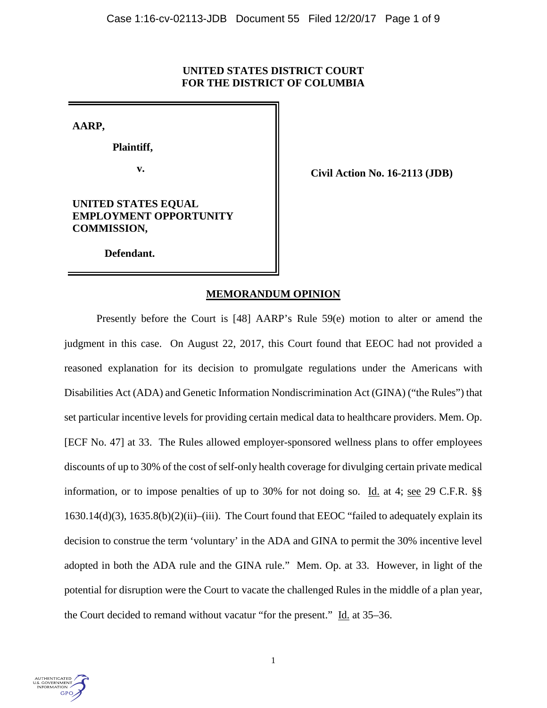## **UNITED STATES DISTRICT COURT FOR THE DISTRICT OF COLUMBIA**

**AARP,**

 **Plaintiff,**

**v. Civil Action No. 16-2113 (JDB)** 

# **UNITED STATES EQUAL EMPLOYMENT OPPORTUNITY COMMISSION,**

 **Defendant.**

# **MEMORANDUM OPINION**

Presently before the Court is [48] AARP's Rule 59(e) motion to alter or amend the judgment in this case. On August 22, 2017, this Court found that EEOC had not provided a reasoned explanation for its decision to promulgate regulations under the Americans with Disabilities Act (ADA) and Genetic Information Nondiscrimination Act (GINA) ("the Rules") that set particular incentive levels for providing certain medical data to healthcare providers. Mem. Op. [ECF No. 47] at 33. The Rules allowed employer-sponsored wellness plans to offer employees discounts of up to 30% of the cost of self-only health coverage for divulging certain private medical information, or to impose penalties of up to 30% for not doing so. Id. at 4; see 29 C.F.R. §§ 1630.14(d)(3), 1635.8(b)(2)(ii)–(iii). The Court found that EEOC "failed to adequately explain its decision to construe the term 'voluntary' in the ADA and GINA to permit the 30% incentive level adopted in both the ADA rule and the GINA rule." Mem. Op. at 33. However, in light of the potential for disruption were the Court to vacate the challenged Rules in the middle of a plan year, the Court decided to remand without vacatur "for the present." Id. at 35–36.

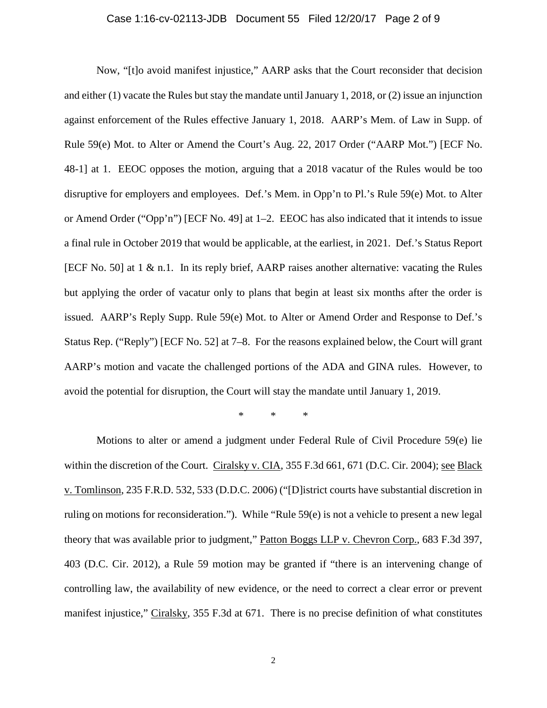### Case 1:16-cv-02113-JDB Document 55 Filed 12/20/17 Page 2 of 9

Now, "[t]o avoid manifest injustice," AARP asks that the Court reconsider that decision and either (1) vacate the Rules but stay the mandate until January 1, 2018, or (2) issue an injunction against enforcement of the Rules effective January 1, 2018. AARP's Mem. of Law in Supp. of Rule 59(e) Mot. to Alter or Amend the Court's Aug. 22, 2017 Order ("AARP Mot.") [ECF No. 48-1] at 1. EEOC opposes the motion, arguing that a 2018 vacatur of the Rules would be too disruptive for employers and employees. Def.'s Mem. in Opp'n to Pl.'s Rule 59(e) Mot. to Alter or Amend Order ("Opp'n") [ECF No. 49] at 1–2. EEOC has also indicated that it intends to issue a final rule in October 2019 that would be applicable, at the earliest, in 2021. Def.'s Status Report [ECF No. 50] at 1 & n.1. In its reply brief, AARP raises another alternative: vacating the Rules but applying the order of vacatur only to plans that begin at least six months after the order is issued. AARP's Reply Supp. Rule 59(e) Mot. to Alter or Amend Order and Response to Def.'s Status Rep. ("Reply") [ECF No. 52] at 7–8. For the reasons explained below, the Court will grant AARP's motion and vacate the challenged portions of the ADA and GINA rules. However, to avoid the potential for disruption, the Court will stay the mandate until January 1, 2019.

\* \* \*

Motions to alter or amend a judgment under Federal Rule of Civil Procedure 59(e) lie within the discretion of the Court. Ciralsky v. CIA, 355 F.3d 661, 671 (D.C. Cir. 2004); see Black v. Tomlinson, 235 F.R.D. 532, 533 (D.D.C. 2006) ("[D]istrict courts have substantial discretion in ruling on motions for reconsideration."). While "Rule 59(e) is not a vehicle to present a new legal theory that was available prior to judgment," Patton Boggs LLP v. Chevron Corp., 683 F.3d 397, 403 (D.C. Cir. 2012), a Rule 59 motion may be granted if "there is an intervening change of controlling law, the availability of new evidence, or the need to correct a clear error or prevent manifest injustice," Ciralsky, 355 F.3d at 671. There is no precise definition of what constitutes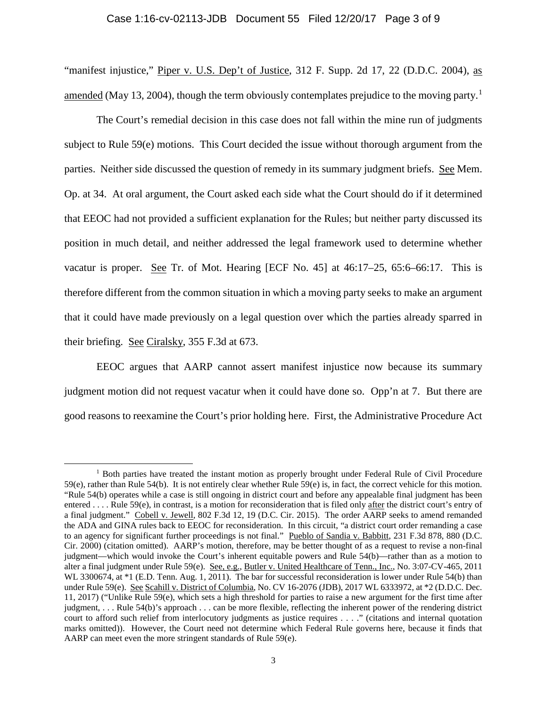# Case 1:16-cv-02113-JDB Document 55 Filed 12/20/17 Page 3 of 9

"manifest injustice," Piper v. U.S. Dep't of Justice, 312 F. Supp. 2d 17, 22 (D.D.C. 2004), as amended (May [1](#page-2-0)3, 2004), though the term obviously contemplates prejudice to the moving party.<sup>1</sup>

The Court's remedial decision in this case does not fall within the mine run of judgments subject to Rule 59(e) motions. This Court decided the issue without thorough argument from the parties. Neither side discussed the question of remedy in its summary judgment briefs. See Mem. Op. at 34. At oral argument, the Court asked each side what the Court should do if it determined that EEOC had not provided a sufficient explanation for the Rules; but neither party discussed its position in much detail, and neither addressed the legal framework used to determine whether vacatur is proper. See Tr. of Mot. Hearing [ECF No. 45] at 46:17–25, 65:6–66:17. This is therefore different from the common situation in which a moving party seeks to make an argument that it could have made previously on a legal question over which the parties already sparred in their briefing. See Ciralsky, 355 F.3d at 673.

EEOC argues that AARP cannot assert manifest injustice now because its summary judgment motion did not request vacatur when it could have done so. Opp'n at 7. But there are good reasons to reexamine the Court's prior holding here. First, the Administrative Procedure Act

<span id="page-2-0"></span><sup>&</sup>lt;sup>1</sup> Both parties have treated the instant motion as properly brought under Federal Rule of Civil Procedure 59(e), rather than Rule 54(b). It is not entirely clear whether Rule 59(e) is, in fact, the correct vehicle for this motion. "Rule 54(b) operates while a case is still ongoing in district court and before any appealable final judgment has been entered . . . . Rule 59(e), in contrast, is a motion for reconsideration that is filed only after the district court's entry of a final judgment." Cobell v. Jewell, 802 F.3d 12, 19 (D.C. Cir. 2015). The order AARP seeks to amend remanded the ADA and GINA rules back to EEOC for reconsideration. In this circuit, "a district court order remanding a case to an agency for significant further proceedings is not final." Pueblo of Sandia v. Babbitt, 231 F.3d 878, 880 (D.C. Cir. 2000) (citation omitted). AARP's motion, therefore, may be better thought of as a request to revise a non-final judgment—which would invoke the Court's inherent equitable powers and Rule 54(b)—rather than as a motion to alter a final judgment under Rule 59(e). See, e.g., Butler v. United Healthcare of Tenn., Inc., No. 3:07-CV-465, 2011 WL 3300674, at \*1 (E.D. Tenn. Aug. 1, 2011). The bar for successful reconsideration is lower under Rule 54(b) than under Rule 59(e). See Scahill v. District of Columbia, No. CV 16-2076 (JDB), 2017 WL 6333972, at \*2 (D.D.C. Dec. 11, 2017) ("Unlike Rule 59(e), which sets a high threshold for parties to raise a new argument for the first time after judgment, . . . Rule 54(b)'s approach . . . can be more flexible, reflecting the inherent power of the rendering district court to afford such relief from interlocutory judgments as justice requires . . . ." (citations and internal quotation marks omitted)). However, the Court need not determine which Federal Rule governs here, because it finds that AARP can meet even the more stringent standards of Rule 59(e).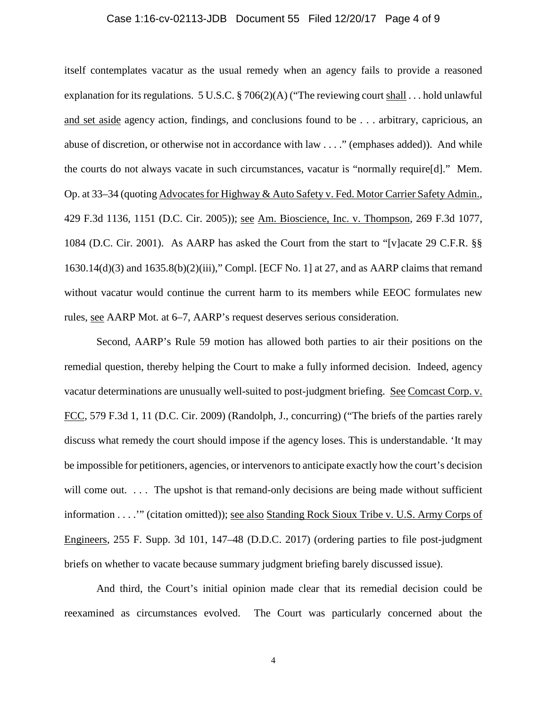### Case 1:16-cv-02113-JDB Document 55 Filed 12/20/17 Page 4 of 9

itself contemplates vacatur as the usual remedy when an agency fails to provide a reasoned explanation for its regulations. 5 U.S.C. § 706(2)(A) ("The reviewing court shall . . . hold unlawful and set aside agency action, findings, and conclusions found to be . . . arbitrary, capricious, an abuse of discretion, or otherwise not in accordance with law . . . ." (emphases added)). And while the courts do not always vacate in such circumstances, vacatur is "normally require[d]." Mem. Op. at 33–34 (quoting Advocates for Highway & Auto Safety v. Fed. Motor Carrier Safety Admin., 429 F.3d 1136, 1151 (D.C. Cir. 2005)); see Am. Bioscience, Inc. v. Thompson, 269 F.3d 1077, 1084 (D.C. Cir. 2001). As AARP has asked the Court from the start to "[v]acate 29 C.F.R. §§ 1630.14(d)(3) and 1635.8(b)(2)(iii)," Compl. [ECF No. 1] at 27, and as AARP claims that remand without vacatur would continue the current harm to its members while EEOC formulates new rules, see AARP Mot. at 6–7, AARP's request deserves serious consideration.

Second, AARP's Rule 59 motion has allowed both parties to air their positions on the remedial question, thereby helping the Court to make a fully informed decision. Indeed, agency vacatur determinations are unusually well-suited to post-judgment briefing. See Comcast Corp. v. FCC, 579 F.3d 1, 11 (D.C. Cir. 2009) (Randolph, J., concurring) ("The briefs of the parties rarely discuss what remedy the court should impose if the agency loses. This is understandable. 'It may be impossible for petitioners, agencies, or intervenors to anticipate exactly how the court's decision will come out. . . . The upshot is that remand-only decisions are being made without sufficient information . . . .'" (citation omitted)); see also Standing Rock Sioux Tribe v. U.S. Army Corps of Engineers, 255 F. Supp. 3d 101, 147–48 (D.D.C. 2017) (ordering parties to file post-judgment briefs on whether to vacate because summary judgment briefing barely discussed issue).

And third, the Court's initial opinion made clear that its remedial decision could be reexamined as circumstances evolved. The Court was particularly concerned about the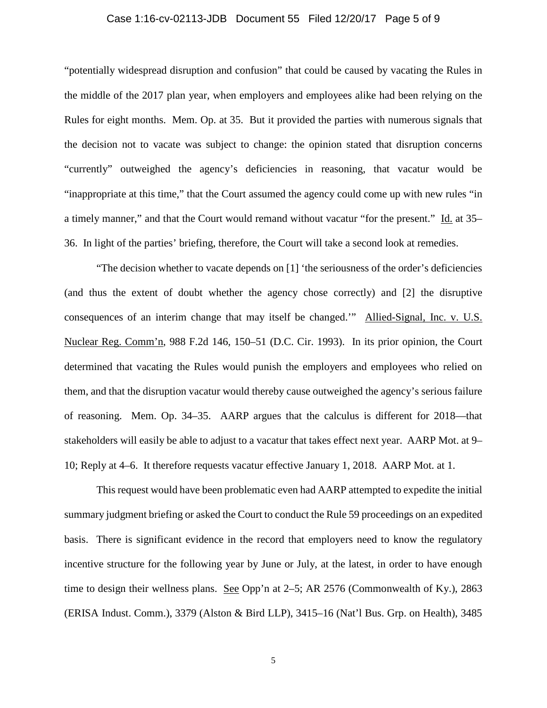## Case 1:16-cv-02113-JDB Document 55 Filed 12/20/17 Page 5 of 9

"potentially widespread disruption and confusion" that could be caused by vacating the Rules in the middle of the 2017 plan year, when employers and employees alike had been relying on the Rules for eight months. Mem. Op. at 35. But it provided the parties with numerous signals that the decision not to vacate was subject to change: the opinion stated that disruption concerns "currently" outweighed the agency's deficiencies in reasoning, that vacatur would be "inappropriate at this time," that the Court assumed the agency could come up with new rules "in a timely manner," and that the Court would remand without vacatur "for the present." Id. at 35– 36. In light of the parties' briefing, therefore, the Court will take a second look at remedies.

"The decision whether to vacate depends on [1] 'the seriousness of the order's deficiencies (and thus the extent of doubt whether the agency chose correctly) and [2] the disruptive consequences of an interim change that may itself be changed.'" Allied-Signal, Inc. v. U.S. Nuclear Reg. Comm'n, 988 F.2d 146, 150–51 (D.C. Cir. 1993). In its prior opinion, the Court determined that vacating the Rules would punish the employers and employees who relied on them, and that the disruption vacatur would thereby cause outweighed the agency's serious failure of reasoning. Mem. Op. 34–35. AARP argues that the calculus is different for 2018—that stakeholders will easily be able to adjust to a vacatur that takes effect next year. AARP Mot. at 9– 10; Reply at 4–6. It therefore requests vacatur effective January 1, 2018. AARP Mot. at 1.

This request would have been problematic even had AARP attempted to expedite the initial summary judgment briefing or asked the Court to conduct the Rule 59 proceedings on an expedited basis. There is significant evidence in the record that employers need to know the regulatory incentive structure for the following year by June or July, at the latest, in order to have enough time to design their wellness plans. See Opp'n at 2–5; AR 2576 (Commonwealth of Ky.), 2863 (ERISA Indust. Comm.), 3379 (Alston & Bird LLP), 3415–16 (Nat'l Bus. Grp. on Health), 3485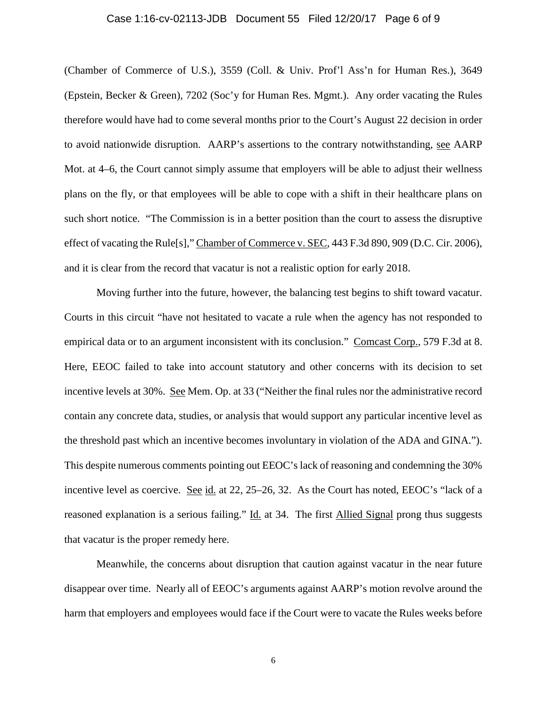#### Case 1:16-cv-02113-JDB Document 55 Filed 12/20/17 Page 6 of 9

(Chamber of Commerce of U.S.), 3559 (Coll. & Univ. Prof'l Ass'n for Human Res.), 3649 (Epstein, Becker & Green), 7202 (Soc'y for Human Res. Mgmt.). Any order vacating the Rules therefore would have had to come several months prior to the Court's August 22 decision in order to avoid nationwide disruption. AARP's assertions to the contrary notwithstanding, see AARP Mot. at 4–6, the Court cannot simply assume that employers will be able to adjust their wellness plans on the fly, or that employees will be able to cope with a shift in their healthcare plans on such short notice. "The Commission is in a better position than the court to assess the disruptive effect of vacating the Rule[s]," Chamber of Commerce v. SEC, 443 F.3d 890, 909 (D.C. Cir. 2006), and it is clear from the record that vacatur is not a realistic option for early 2018.

Moving further into the future, however, the balancing test begins to shift toward vacatur. Courts in this circuit "have not hesitated to vacate a rule when the agency has not responded to empirical data or to an argument inconsistent with its conclusion." Comcast Corp., 579 F.3d at 8. Here, EEOC failed to take into account statutory and other concerns with its decision to set incentive levels at 30%. See Mem. Op. at 33 ("Neither the final rules nor the administrative record contain any concrete data, studies, or analysis that would support any particular incentive level as the threshold past which an incentive becomes involuntary in violation of the ADA and GINA."). This despite numerous comments pointing out EEOC's lack of reasoning and condemning the 30% incentive level as coercive. See id. at 22, 25–26, 32. As the Court has noted, EEOC's "lack of a reasoned explanation is a serious failing." Id. at 34. The first Allied Signal prong thus suggests that vacatur is the proper remedy here.

Meanwhile, the concerns about disruption that caution against vacatur in the near future disappear over time. Nearly all of EEOC's arguments against AARP's motion revolve around the harm that employers and employees would face if the Court were to vacate the Rules weeks before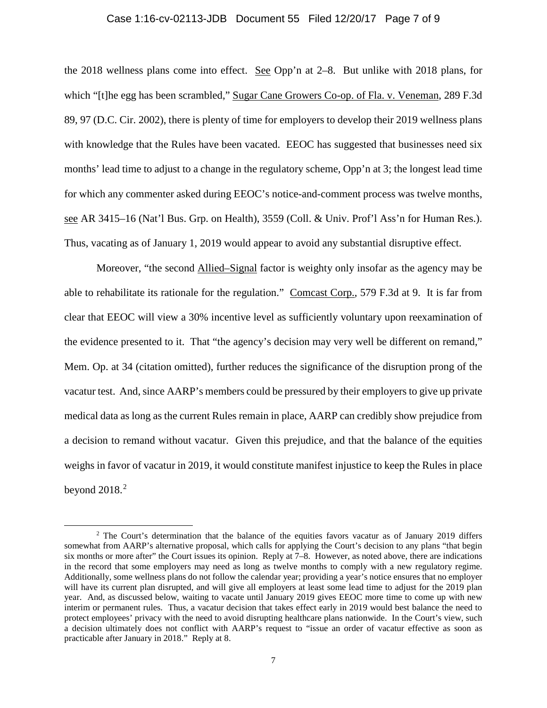#### Case 1:16-cv-02113-JDB Document 55 Filed 12/20/17 Page 7 of 9

the 2018 wellness plans come into effect. See Opp'n at 2–8. But unlike with 2018 plans, for which "[t]he egg has been scrambled," Sugar Cane Growers Co-op. of Fla. v. Veneman, 289 F.3d 89, 97 (D.C. Cir. 2002), there is plenty of time for employers to develop their 2019 wellness plans with knowledge that the Rules have been vacated. EEOC has suggested that businesses need six months' lead time to adjust to a change in the regulatory scheme, Opp'n at 3; the longest lead time for which any commenter asked during EEOC's notice-and-comment process was twelve months, see AR 3415–16 (Nat'l Bus. Grp. on Health), 3559 (Coll. & Univ. Prof'l Ass'n for Human Res.). Thus, vacating as of January 1, 2019 would appear to avoid any substantial disruptive effect.

Moreover, "the second Allied–Signal factor is weighty only insofar as the agency may be able to rehabilitate its rationale for the regulation." Comcast Corp., 579 F.3d at 9. It is far from clear that EEOC will view a 30% incentive level as sufficiently voluntary upon reexamination of the evidence presented to it. That "the agency's decision may very well be different on remand," Mem. Op. at 34 (citation omitted), further reduces the significance of the disruption prong of the vacatur test. And, since AARP's members could be pressured by their employers to give up private medical data as long as the current Rules remain in place, AARP can credibly show prejudice from a decision to remand without vacatur. Given this prejudice, and that the balance of the equities weighs in favor of vacatur in 2019, it would constitute manifest injustice to keep the Rules in place beyond  $2018.<sup>2</sup>$  $2018.<sup>2</sup>$ 

<span id="page-6-0"></span> $2$  The Court's determination that the balance of the equities favors vacatur as of January 2019 differs somewhat from AARP's alternative proposal, which calls for applying the Court's decision to any plans "that begin six months or more after" the Court issues its opinion. Reply at 7–8. However, as noted above, there are indications in the record that some employers may need as long as twelve months to comply with a new regulatory regime. Additionally, some wellness plans do not follow the calendar year; providing a year's notice ensures that no employer will have its current plan disrupted, and will give all employers at least some lead time to adjust for the 2019 plan year. And, as discussed below, waiting to vacate until January 2019 gives EEOC more time to come up with new interim or permanent rules. Thus, a vacatur decision that takes effect early in 2019 would best balance the need to protect employees' privacy with the need to avoid disrupting healthcare plans nationwide. In the Court's view, such a decision ultimately does not conflict with AARP's request to "issue an order of vacatur effective as soon as practicable after January in 2018." Reply at 8.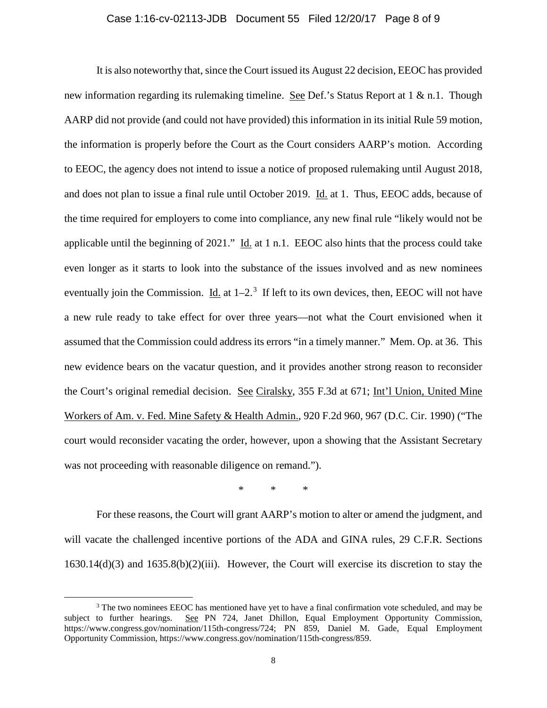#### Case 1:16-cv-02113-JDB Document 55 Filed 12/20/17 Page 8 of 9

It is also noteworthy that, since the Court issued its August 22 decision, EEOC has provided new information regarding its rulemaking timeline. See Def.'s Status Report at 1 & n.1. Though AARP did not provide (and could not have provided) this information in its initial Rule 59 motion, the information is properly before the Court as the Court considers AARP's motion. According to EEOC, the agency does not intend to issue a notice of proposed rulemaking until August 2018, and does not plan to issue a final rule until October 2019. Id. at 1. Thus, EEOC adds, because of the time required for employers to come into compliance, any new final rule "likely would not be applicable until the beginning of 2021." Id. at 1 n.1. EEOC also hints that the process could take even longer as it starts to look into the substance of the issues involved and as new nominees eventually join the Commission.  $\underline{Id}$  at  $1-2$ .<sup>[3](#page-7-0)</sup> If left to its own devices, then, EEOC will not have a new rule ready to take effect for over three years—not what the Court envisioned when it assumed that the Commission could address its errors "in a timely manner." Mem. Op. at 36. This new evidence bears on the vacatur question, and it provides another strong reason to reconsider the Court's original remedial decision. See Ciralsky, 355 F.3d at 671; Int'l Union, United Mine Workers of Am. v. Fed. Mine Safety & Health Admin., 920 F.2d 960, 967 (D.C. Cir. 1990) ("The court would reconsider vacating the order, however, upon a showing that the Assistant Secretary was not proceeding with reasonable diligence on remand.").

\* \* \*

For these reasons, the Court will grant AARP's motion to alter or amend the judgment, and will vacate the challenged incentive portions of the ADA and GINA rules, 29 C.F.R. Sections  $1630.14(d)(3)$  and  $1635.8(b)(2)(iii)$ . However, the Court will exercise its discretion to stay the

<span id="page-7-0"></span><sup>&</sup>lt;sup>3</sup> The two nominees EEOC has mentioned have yet to have a final confirmation vote scheduled, and may be subject to further hearings. See PN 724, Janet Dhillon, Equal Employment Opportunity Commission, https://www.congress.gov/nomination/115th-congress/724; PN 859, Daniel M. Gade, Equal Employment Opportunity Commission, https://www.congress.gov/nomination/115th-congress/859.